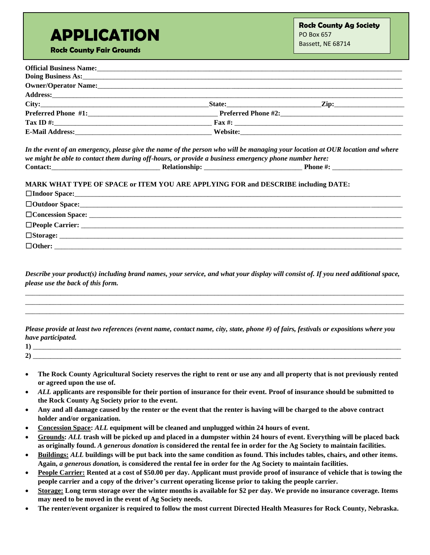## **APPLICATION**

**Rock County Fair Grounds**

| Official Business Name: 1986. The Contract of the Contract of the Contract of the Contract of the Contract of the Contract of the Contract of the Contract of the Contract of the Contract of the Contract of the Contract of       |                          |
|-------------------------------------------------------------------------------------------------------------------------------------------------------------------------------------------------------------------------------------|--------------------------|
|                                                                                                                                                                                                                                     |                          |
|                                                                                                                                                                                                                                     |                          |
| Address: <u>Address:</u> Address: Address: Address: Address: Address: Address: Address: Address: Address: Address: Address: Address: Address: Address: Address: Address: Address: Address: Address: Address: Address: Address: Addr |                          |
|                                                                                                                                                                                                                                     | _Zip:___________________ |
|                                                                                                                                                                                                                                     |                          |
|                                                                                                                                                                                                                                     |                          |
|                                                                                                                                                                                                                                     |                          |

*In the event of an emergency, please give the name of the person who will be managing your location at OUR location and where we might be able to contact them during off-hours, or provide a business emergency phone number here:* **Contact:**\_\_\_\_\_\_\_\_\_\_\_\_\_\_\_\_\_\_\_\_\_\_\_\_\_\_\_\_\_\_\_ **Relationship:** \_\_\_\_\_\_\_\_\_\_\_\_\_\_\_\_\_\_\_\_\_\_\_\_\_\_\_\_ **Phone #:** \_\_\_\_\_\_\_\_\_\_\_\_\_\_\_\_\_\_\_\_

**MARK WHAT TYPE OF SPACE or ITEM YOU ARE APPLYING FOR and DESCRIBE including DATE:**

| $\Box$ Concession Space: $\Box$ |  |
|---------------------------------|--|
|                                 |  |
| $\square$ Storage:              |  |
| $\Box$ Other:                   |  |

*Describe your product(s) including brand names, your service, and what your display will consist of. If you need additional space, please use the back of this form.*

\_\_\_\_\_\_\_\_\_\_\_\_\_\_\_\_\_\_\_\_\_\_\_\_\_\_\_\_\_\_\_\_\_\_\_\_\_\_\_\_\_\_\_\_\_\_\_\_\_\_\_\_\_\_\_\_\_\_\_\_\_\_\_\_\_\_\_\_\_\_\_\_\_\_\_\_\_\_\_\_\_\_\_\_\_\_\_\_\_\_\_\_\_\_\_\_\_\_\_\_\_\_\_\_\_\_\_\_ \_\_\_\_\_\_\_\_\_\_\_\_\_\_\_\_\_\_\_\_\_\_\_\_\_\_\_\_\_\_\_\_\_\_\_\_\_\_\_\_\_\_\_\_\_\_\_\_\_\_\_\_\_\_\_\_\_\_\_\_\_\_\_\_\_\_\_\_\_\_\_\_\_\_\_\_\_\_\_\_\_\_\_\_\_\_\_\_\_\_\_\_\_\_\_\_\_\_\_\_\_\_\_\_\_\_\_\_ \_\_\_\_\_\_\_\_\_\_\_\_\_\_\_\_\_\_\_\_\_\_\_\_\_\_\_\_\_\_\_\_\_\_\_\_\_\_\_\_\_\_\_\_\_\_\_\_\_\_\_\_\_\_\_\_\_\_\_\_\_\_\_\_\_\_\_\_\_\_\_\_\_\_\_\_\_\_\_\_\_\_\_\_\_\_\_\_\_\_\_\_\_\_\_\_\_\_\_\_\_\_\_\_\_\_\_\_

*Please provide at least two references (event name, contact name, city, state, phone #) of fairs, festivals or expositions where you have participated.*

| o١<br>4 I |  |
|-----------|--|

- **The Rock County Agricultural Society reserves the right to rent or use any and all property that is not previously rented or agreed upon the use of.**
- *ALL* **applicants are responsible for their portion of insurance for their event. Proof of insurance should be submitted to the Rock County Ag Society prior to the event.**
- **Any and all damage caused by the renter or the event that the renter is having will be charged to the above contract holder and/or organization.**
- **Concession Space:** *ALL* **equipment will be cleaned and unplugged within 24 hours of event.**
- **Grounds:** *ALL* **trash will be picked up and placed in a dumpster within 24 hours of event. Everything will be placed back as originally found.** *A generous donation* **is considered the rental fee in order for the Ag Society to maintain facilities.**
- **Buildings:** *ALL* **buildings will be put back into the same condition as found. This includes tables, chairs, and other items. Again,** *a generous donation,* **is considered the rental fee in order for the Ag Society to maintain facilities.**
- **People Carrier: Rented at a cost of \$50.00 per day. Applicant must provide proof of insurance of vehicle that is towing the people carrier and a copy of the driver's current operating license prior to taking the people carrier.**
- **Storage: Long term storage over the winter months is available for \$2 per day. We provide no insurance coverage. Items may need to be moved in the event of Ag Society needs.**
- **The renter/event organizer is required to follow the most current Directed Health Measures for Rock County, Nebraska.**